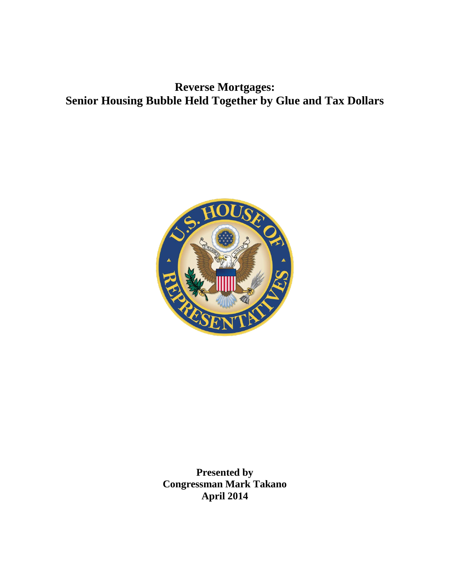**Reverse Mortgages: Senior Housing Bubble Held Together by Glue and Tax Dollars**



**Presented by Congressman Mark Takano April 2014**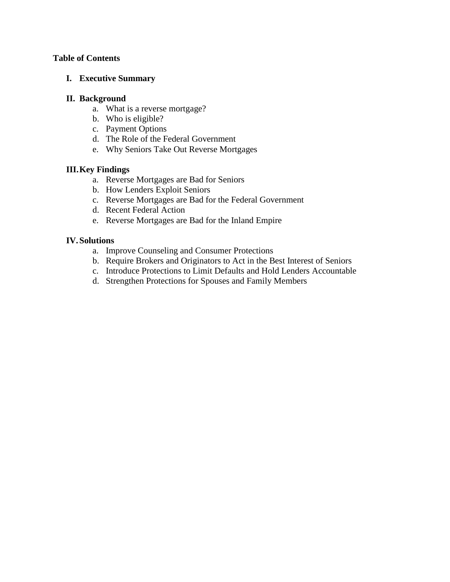# **Table of Contents**

# **I. Executive Summary**

## **II. Background**

- a. What is a reverse mortgage?
- b. Who is eligible?
- c. Payment Options
- d. The Role of the Federal Government
- e. Why Seniors Take Out Reverse Mortgages

# **III.Key Findings**

- a. Reverse Mortgages are Bad for Seniors
- b. How Lenders Exploit Seniors
- c. Reverse Mortgages are Bad for the Federal Government
- d. Recent Federal Action
- e. Reverse Mortgages are Bad for the Inland Empire

# **IV.Solutions**

- a. Improve Counseling and Consumer Protections
- b. Require Brokers and Originators to Act in the Best Interest of Seniors
- c. Introduce Protections to Limit Defaults and Hold Lenders Accountable
- d. Strengthen Protections for Spouses and Family Members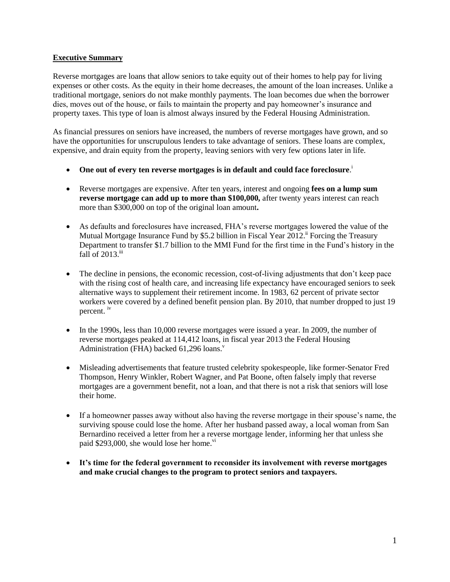### **Executive Summary**

Reverse mortgages are loans that allow seniors to take equity out of their homes to help pay for living expenses or other costs. As the equity in their home decreases, the amount of the loan increases. Unlike a traditional mortgage, seniors do not make monthly payments. The loan becomes due when the borrower dies, moves out of the house, or fails to maintain the property and pay homeowner's insurance and property taxes. This type of loan is almost always insured by the Federal Housing Administration.

As financial pressures on seniors have increased, the numbers of reverse mortgages have grown, and so have the opportunities for unscrupulous lenders to take advantage of seniors. These loans are complex, expensive, and drain equity from the property, leaving seniors with very few options later in life.

- **One out of every ten reverse mortgages is in default and could face foreclosure**. i
- Reverse mortgages are expensive. After ten years, interest and ongoing **fees on a lump sum reverse mortgage can add up to more than \$100,000,** after twenty years interest can reach more than \$300,000 on top of the original loan amount**.**
- As defaults and foreclosures have increased, FHA's reverse mortgages lowered the value of the Mutual Mortgage Insurance Fund by \$5.2 billion in Fiscal Year 2012.<sup>ii</sup> Forcing the Treasury Department to transfer \$1.7 billion to the MMI Fund for the first time in the Fund's history in the fall of  $2013$ .<sup>iii</sup>
- The decline in pensions, the economic recession, cost-of-living adjustments that don't keep pace with the rising cost of health care, and increasing life expectancy have encouraged seniors to seek alternative ways to supplement their retirement income. In 1983, 62 percent of private sector workers were covered by a defined benefit pension plan. By 2010, that number dropped to just 19 percent. iv
- In the 1990s, less than 10,000 reverse mortgages were issued a year. In 2009, the number of reverse mortgages peaked at 114,412 loans, in fiscal year 2013 the Federal Housing Administration (FHA) backed  $61,296$  loans.<sup>v</sup>
- Misleading advertisements that feature trusted celebrity spokespeople, like former-Senator Fred Thompson, Henry Winkler, Robert Wagner, and Pat Boone, often falsely imply that reverse mortgages are a government benefit, not a loan, and that there is not a risk that seniors will lose their home.
- If a homeowner passes away without also having the reverse mortgage in their spouse's name, the surviving spouse could lose the home. After her husband passed away, a local woman from San Bernardino received a letter from her a reverse mortgage lender, informing her that unless she paid  $$293,000$ , she would lose her home.<sup>vi</sup>
- **It's time for the federal government to reconsider its involvement with reverse mortgages and make crucial changes to the program to protect seniors and taxpayers.**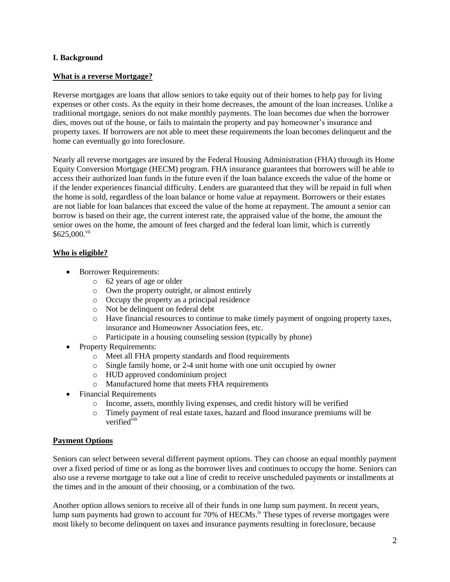### **I. Background**

### **What is a reverse Mortgage?**

Reverse mortgages are loans that allow seniors to take equity out of their homes to help pay for living expenses or other costs. As the equity in their home decreases, the amount of the loan increases. Unlike a traditional mortgage, seniors do not make monthly payments. The loan becomes due when the borrower dies, moves out of the house, or fails to maintain the property and pay homeowner's insurance and property taxes. If borrowers are not able to meet these requirements the loan becomes delinquent and the home can eventually go into foreclosure.

Nearly all reverse mortgages are insured by the Federal Housing Administration (FHA) through its Home Equity Conversion Mortgage (HECM) program. FHA insurance guarantees that borrowers will be able to access their authorized loan funds in the future even if the loan balance exceeds the value of the home or if the lender experiences financial difficulty. Lenders are guaranteed that they will be repaid in full when the home is sold, regardless of the loan balance or home value at repayment. Borrowers or their estates are not liable for loan balances that exceed the value of the home at repayment. The amount a senior can borrow is based on their age, the current interest rate, the appraised value of the home, the amount the senior owes on the home, the amount of fees charged and the federal loan limit, which is currently  $$625,000.^{\text{vii}}$ 

## **Who is eligible?**

- Borrower Requirements:
	- o 62 years of age or older
	- o Own the property outright, or almost entirely
	- o Occupy the property as a principal residence
	- o Not be delinquent on federal debt
	- o Have financial resources to continue to make timely payment of ongoing property taxes, insurance and Homeowner Association fees, etc.
	- o Participate in a housing counseling session (typically by phone)
- Property Requirements:
	- o Meet all FHA property standards and flood requirements
	- o Single family home, or 2-4 unit home with one unit occupied by owner
	- o HUD approved condominium project
	- o Manufactured home that meets FHA requirements
- Financial Requirements
	- o Income, assets, monthly living expenses, and credit history will be verified
	- o Timely payment of real estate taxes, hazard and flood insurance premiums will be verified $\overline{v}$ iii

## **Payment Options**

Seniors can select between several different payment options. They can choose an equal monthly payment over a fixed period of time or as long as the borrower lives and continues to occupy the home. Seniors can also use a reverse mortgage to take out a line of credit to receive unscheduled payments or installments at the times and in the amount of their choosing, or a combination of the two.

Another option allows seniors to receive all of their funds in one lump sum payment. In recent years, lump sum payments had grown to account for 70% of HECMs.<sup>ix</sup> These types of reverse mortgages were most likely to become delinquent on taxes and insurance payments resulting in foreclosure, because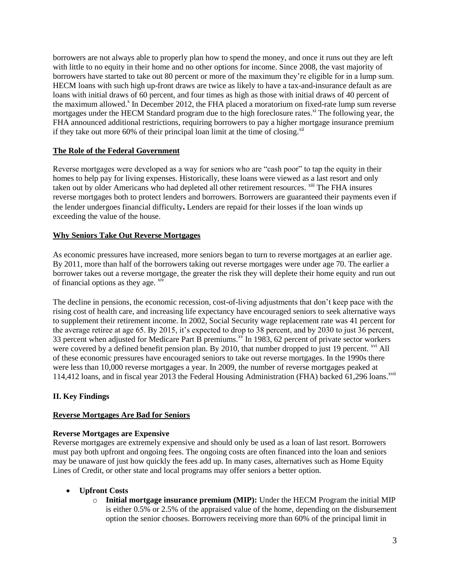borrowers are not always able to properly plan how to spend the money, and once it runs out they are left with little to no equity in their home and no other options for income. Since 2008, the vast majority of borrowers have started to take out 80 percent or more of the maximum they're eligible for in a lump sum. HECM loans with such high up-front draws are twice as likely to have a tax-and-insurance default as are loans with initial draws of 60 percent, and four times as high as those with initial draws of 40 percent of the maximum allowed.<sup>x</sup> In December 2012, the FHA placed a moratorium on fixed-rate lump sum reverse mortgages under the HECM Standard program due to the high foreclosure rates.<sup>xi</sup> The following year, the FHA announced additional restrictions, requiring borrowers to pay a higher mortgage insurance premium if they take out more 60% of their principal loan limit at the time of closing.<sup>xii</sup>

### **The Role of the Federal Government**

Reverse mortgages were developed as a way for seniors who are "cash poor" to tap the equity in their homes to help pay for living expenses. Historically, these loans were viewed as a last resort and only taken out by older Americans who had depleted all other retirement resources. <sup>xiii</sup> The FHA insures reverse mortgages both to protect lenders and borrowers. Borrowers are guaranteed their payments even if the lender undergoes financial difficulty**.** Lenders are repaid for their losses if the loan winds up exceeding the value of the house.

### **Why Seniors Take Out Reverse Mortgages**

As economic pressures have increased, more seniors began to turn to reverse mortgages at an earlier age. By 2011, more than half of the borrowers taking out reverse mortgages were under age 70. The earlier a borrower takes out a reverse mortgage, the greater the risk they will deplete their home equity and run out of financial options as they age.  $x$ iv

The decline in pensions, the economic recession, cost-of-living adjustments that don't keep pace with the rising cost of health care, and increasing life expectancy have encouraged seniors to seek alternative ways to supplement their retirement income. In 2002, Social Security wage replacement rate was 41 percent for the average retiree at age 65. By 2015, it's expected to drop to 38 percent, and by 2030 to just 36 percent, 33 percent when adjusted for Medicare Part B premiums.<sup>xv</sup> In 1983, 62 percent of private sector workers were covered by a defined benefit pension plan. By 2010, that number dropped to just 19 percent. <sup>xvi</sup> All of these economic pressures have encouraged seniors to take out reverse mortgages. In the 1990s there were less than 10,000 reverse mortgages a year. In 2009, the number of reverse mortgages peaked at 114,412 loans, and in fiscal year 2013 the Federal Housing Administration (FHA) backed 61,296 loans.<sup>xvii</sup>

## **II. Key Findings**

#### **Reverse Mortgages Are Bad for Seniors**

#### **Reverse Mortgages are Expensive**

Reverse mortgages are extremely expensive and should only be used as a loan of last resort. Borrowers must pay both upfront and ongoing fees. The ongoing costs are often financed into the loan and seniors may be unaware of just how quickly the fees add up. In many cases, alternatives such as Home Equity Lines of Credit, or other state and local programs may offer seniors a better option.

#### **Upfront Costs**

o **Initial mortgage insurance premium (MIP):** Under the HECM Program the initial MIP is either 0.5% or 2.5% of the appraised value of the home, depending on the disbursement option the senior chooses. Borrowers receiving more than 60% of the principal limit in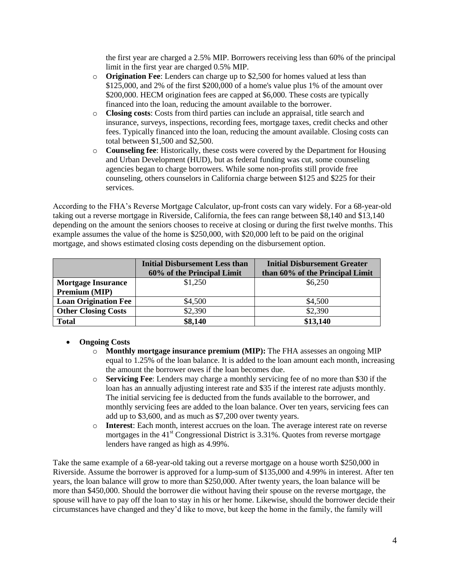the first year are charged a 2.5% MIP. Borrowers receiving less than 60% of the principal limit in the first year are charged 0.5% MIP.

- o **Origination Fee**: Lenders can charge up to \$2,500 for homes valued at less than \$125,000, and 2% of the first \$200,000 of a home's value plus 1% of the amount over \$200,000. HECM origination fees are capped at \$6,000. These costs are typically financed into the loan, reducing the amount available to the borrower.
- o **Closing costs**: Costs from third parties can include an appraisal, title search and insurance, surveys, inspections, recording fees, mortgage taxes, credit checks and other fees. Typically financed into the loan, reducing the amount available. Closing costs can total between \$1,500 and \$2,500.
- o **Counseling fee**: Historically, these costs were covered by the Department for Housing and Urban Development (HUD), but as federal funding was cut, some counseling agencies began to charge borrowers. While some non-profits still provide free counseling, others counselors in California charge between \$125 and \$225 for their services.

According to the FHA's Reverse Mortgage Calculator, up-front costs can vary widely. For a 68-year-old taking out a reverse mortgage in Riverside, California, the fees can range between \$8,140 and \$13,140 depending on the amount the seniors chooses to receive at closing or during the first twelve months. This example assumes the value of the home is \$250,000, with \$20,000 left to be paid on the original mortgage, and shows estimated closing costs depending on the disbursement option.

|                             | <b>Initial Disbursement Less than</b><br>60% of the Principal Limit | <b>Initial Disbursement Greater</b><br>than 60% of the Principal Limit |
|-----------------------------|---------------------------------------------------------------------|------------------------------------------------------------------------|
| <b>Mortgage Insurance</b>   | \$1,250                                                             | \$6,250                                                                |
| Premium (MIP)               |                                                                     |                                                                        |
| <b>Loan Origination Fee</b> | \$4,500                                                             | \$4,500                                                                |
| <b>Other Closing Costs</b>  | \$2,390                                                             | \$2,390                                                                |
| <b>Total</b>                | \$8,140                                                             | \$13,140                                                               |

## **Ongoing Costs**

- o **Monthly mortgage insurance premium (MIP):** The FHA assesses an ongoing MIP equal to 1.25% of the loan balance. It is added to the loan amount each month, increasing the amount the borrower owes if the loan becomes due.
- o **Servicing Fee**: Lenders may charge a monthly servicing fee of no more than \$30 if the loan has an annually adjusting interest rate and \$35 if the interest rate adjusts monthly. The initial servicing fee is deducted from the funds available to the borrower, and monthly servicing fees are added to the loan balance. Over ten years, servicing fees can add up to \$3,600, and as much as \$7,200 over twenty years.
- o **Interest**: Each month, interest accrues on the loan. The average interest rate on reverse mortgages in the  $41<sup>st</sup>$  Congressional District is 3.31%. Quotes from reverse mortgage lenders have ranged as high as 4.99%.

Take the same example of a 68-year-old taking out a reverse mortgage on a house worth \$250,000 in Riverside. Assume the borrower is approved for a lump-sum of \$135,000 and 4.99% in interest. After ten years, the loan balance will grow to more than \$250,000. After twenty years, the loan balance will be more than \$450,000. Should the borrower die without having their spouse on the reverse mortgage, the spouse will have to pay off the loan to stay in his or her home. Likewise, should the borrower decide their circumstances have changed and they'd like to move, but keep the home in the family, the family will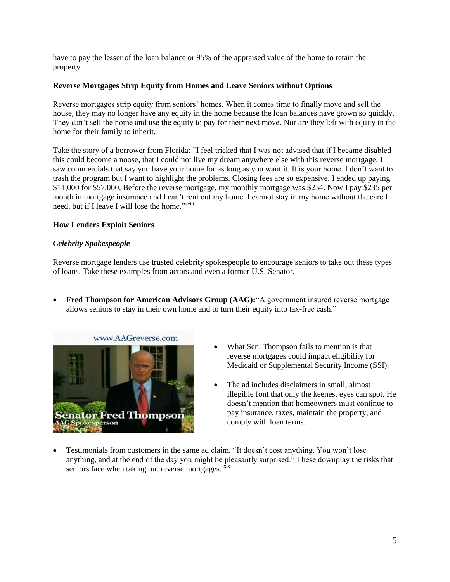have to pay the lesser of the loan balance or 95% of the appraised value of the home to retain the property.

## **Reverse Mortgages Strip Equity from Homes and Leave Seniors without Options**

Reverse mortgages strip equity from seniors' homes. When it comes time to finally move and sell the house, they may no longer have any equity in the home because the loan balances have grown so quickly. They can't sell the home and use the equity to pay for their next move. Nor are they left with equity in the home for their family to inherit.

Take the story of a borrower from Florida: "I feel tricked that I was not advised that if I became disabled this could become a noose, that I could not live my dream anywhere else with this reverse mortgage. I saw commercials that say you have your home for as long as you want it. It is your home. I don't want to trash the program but I want to highlight the problems. Closing fees are so expensive. I ended up paying \$11,000 for \$57,000. Before the reverse mortgage, my monthly mortgage was \$254. Now I pay \$235 per month in mortgage insurance and I can't rent out my home. I cannot stay in my home without the care I need, but if I leave I will lose the home."<sup>xviii</sup>

### **How Lenders Exploit Seniors**

### *Celebrity Spokespeople*

Reverse mortgage lenders use trusted celebrity spokespeople to encourage seniors to take out these types of loans. Take these examples from actors and even a former U.S. Senator.

 **Fred Thompson for American Advisors Group (AAG):**"A government insured reverse mortgage allows seniors to stay in their own home and to turn their equity into tax-free cash."



- What Sen. Thompson fails to mention is that reverse mortgages could impact eligibility for Medicaid or Supplemental Security Income (SSI).
- The ad includes disclaimers in small, almost illegible font that only the keenest eyes can spot. He doesn't mention that homeowners must continue to pay insurance, taxes, maintain the property, and comply with loan terms.
- Testimonials from customers in the same ad claim, "It doesn't cost anything. You won't lose anything, and at the end of the day you might be pleasantly surprised." These downplay the risks that seniors face when taking out reverse mortgages.  $\frac{\overline{x}^{ix}}{x}$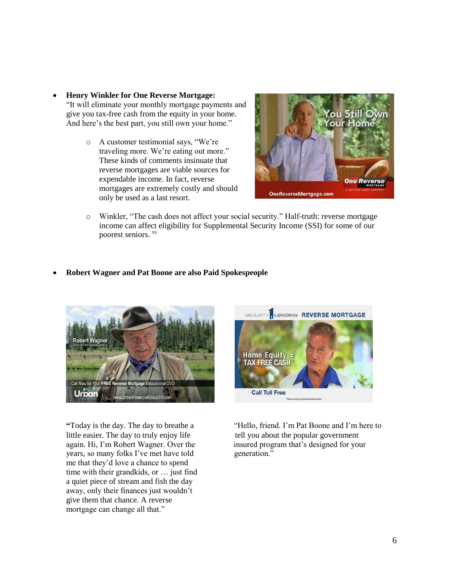- **Henry Winkler for One Reverse Mortgage:**  "It will eliminate your monthly mortgage payments and give you tax-free cash from the equity in your home. And here's the best part, you still own your home."
	- o A customer testimonial says, "We're traveling more. We're eating out more." These kinds of comments insinuate that reverse mortgages are viable sources for expendable income. In fact, reverse mortgages are extremely costly and should only be used as a last resort.



o Winkler, "The cash does not affect your social security." Half-truth: reverse mortgage income can affect eligibility for Supplemental Security Income (SSI) for some of our poorest seniors.  $\frac{xx}{x}$ 

### **Robert Wagner and Pat Boone are also Paid Spokespeople**



little easier. The day to truly enjoy life tell you about the popular government years, so many folks I've met have told generation." me that they'd love a chance to spend time with their grandkids, or … just find a quiet piece of stream and fish the day away, only their finances just wouldn't give them that chance. A reverse mortgage can change all that."



**"**Today is the day. The day to breathe a "Hello, friend. I'm Pat Boone and I'm here to again. Hi, I'm Robert Wagner. Over the insured program that's designed for your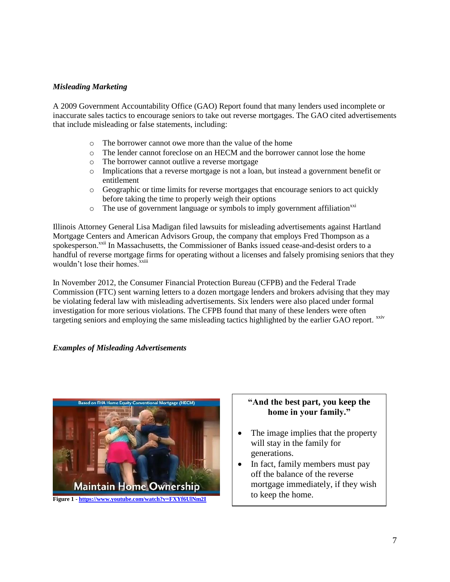## *Misleading Marketing*

A 2009 Government Accountability Office (GAO) Report found that many lenders used incomplete or inaccurate sales tactics to encourage seniors to take out reverse mortgages. The GAO cited advertisements that include misleading or false statements, including:

- o The borrower cannot owe more than the value of the home
- o The lender cannot foreclose on an HECM and the borrower cannot lose the home
- o The borrower cannot outlive a reverse mortgage
- o Implications that a reverse mortgage is not a loan, but instead a government benefit or entitlement
- o Geographic or time limits for reverse mortgages that encourage seniors to act quickly before taking the time to properly weigh their options
- $\circ$  The use of government language or symbols to imply government affiliation<sup>xxi</sup>

Illinois Attorney General Lisa Madigan filed lawsuits for misleading advertisements against Hartland Mortgage Centers and American Advisors Group, the company that employs Fred Thompson as a spokesperson.<sup>xxii</sup> In Massachusetts, the Commissioner of Banks issued cease-and-desist orders to a handful of reverse mortgage firms for operating without a licenses and falsely promising seniors that they wouldn't lose their homes.<sup>xxiii</sup>

In November 2012, the Consumer Financial Protection Bureau (CFPB) and the Federal Trade Commission (FTC) sent warning letters to a dozen mortgage lenders and brokers advising that they may be violating federal law with misleading advertisements. Six lenders were also placed under formal investigation for more serious violations. The CFPB found that many of these lenders were often targeting seniors and employing the same misleading tactics highlighted by the earlier GAO report. xxiv

#### *Examples of Misleading Advertisements*



## **"And the best part, you keep the home in your family."**

- The image implies that the property will stay in the family for generations.
- In fact, family members must pay off the balance of the reverse mortgage immediately, if they wish to keep the home.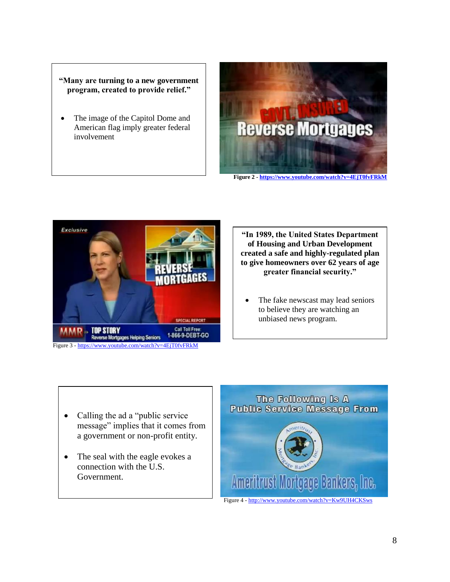## **"Many are turning to a new government program, created to provide relief."**

 The image of the Capitol Dome and American flag imply greater federal involvement



**Figure 2 - <https://www.youtube.com/watch?v=4EjT0fvFRkM>**



**"In 1989, the United States Department of Housing and Urban Development created a safe and highly-regulated plan to give homeowners over 62 years of age greater financial security."**

 The fake newscast may lead seniors to believe they are watching an unbiased news program.

- Calling the ad a "public service" message" implies that it comes from a government or non-profit entity.
- The seal with the eagle evokes a connection with the U.S. Government.

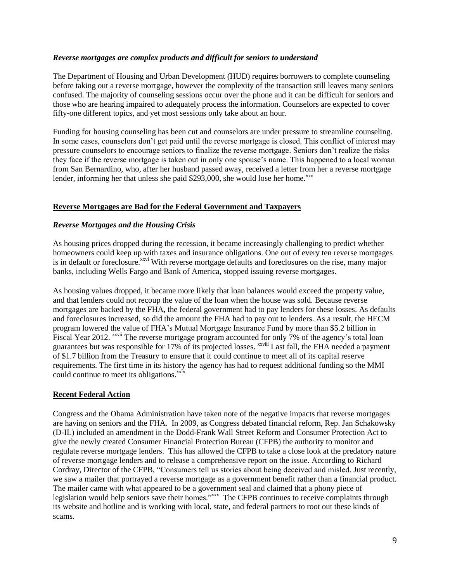#### *Reverse mortgages are complex products and difficult for seniors to understand*

The Department of Housing and Urban Development (HUD) requires borrowers to complete counseling before taking out a reverse mortgage, however the complexity of the transaction still leaves many seniors confused. The majority of counseling sessions occur over the phone and it can be difficult for seniors and those who are hearing impaired to adequately process the information. Counselors are expected to cover fifty-one different topics, and yet most sessions only take about an hour.

Funding for housing counseling has been cut and counselors are under pressure to streamline counseling. In some cases, counselors don't get paid until the reverse mortgage is closed. This conflict of interest may pressure counselors to encourage seniors to finalize the reverse mortgage. Seniors don't realize the risks they face if the reverse mortgage is taken out in only one spouse's name. This happened to a local woman from San Bernardino, who, after her husband passed away, received a letter from her a reverse mortgage lender, informing her that unless she paid  $$293,000$ , she would lose her home.<sup>xxv</sup>

### **Reverse Mortgages are Bad for the Federal Government and Taxpayers**

### *Reverse Mortgages and the Housing Crisis*

As housing prices dropped during the recession, it became increasingly challenging to predict whether homeowners could keep up with taxes and insurance obligations. One out of every ten reverse mortgages is in default or foreclosure.<sup>xxvi</sup> With reverse mortgage defaults and foreclosures on the rise, many major banks, including Wells Fargo and Bank of America, stopped issuing reverse mortgages.

As housing values dropped, it became more likely that loan balances would exceed the property value, and that lenders could not recoup the value of the loan when the house was sold. Because reverse mortgages are backed by the FHA, the federal government had to pay lenders for these losses. As defaults and foreclosures increased, so did the amount the FHA had to pay out to lenders. As a result, the HECM program lowered the value of FHA's Mutual Mortgage Insurance Fund by more than \$5.2 billion in Fiscal Year 2012. <sup>xxvii</sup> The reverse mortgage program accounted for only 7% of the agency's total loan guarantees but was responsible for 17% of its projected losses. <sup>xxviii</sup> Last fall, the FHA needed a payment of \$1.7 billion from the Treasury to ensure that it could continue to meet all of its capital reserve requirements. The first time in its history the agency has had to request additional funding so the MMI could continue to meet its obligations.<sup>xxix</sup>

#### **Recent Federal Action**

Congress and the Obama Administration have taken note of the negative impacts that reverse mortgages are having on seniors and the FHA. In 2009, as Congress debated financial reform, Rep. Jan Schakowsky (D-IL) included an amendment in the Dodd-Frank Wall Street Reform and Consumer Protection Act to give the newly created Consumer Financial Protection Bureau (CFPB) the authority to monitor and regulate reverse mortgage lenders. This has allowed the CFPB to take a close look at the predatory nature of reverse mortgage lenders and to release a comprehensive report on the issue. According to Richard Cordray, Director of the CFPB, "Consumers tell us stories about being deceived and misled. Just recently, we saw a mailer that portrayed a reverse mortgage as a government benefit rather than a financial product. The mailer came with what appeared to be a government seal and claimed that a phony piece of legislation would help seniors save their homes."<sup>xxx</sup> The CFPB continues to receive complaints through its website and hotline and is working with local, state, and federal partners to root out these kinds of scams.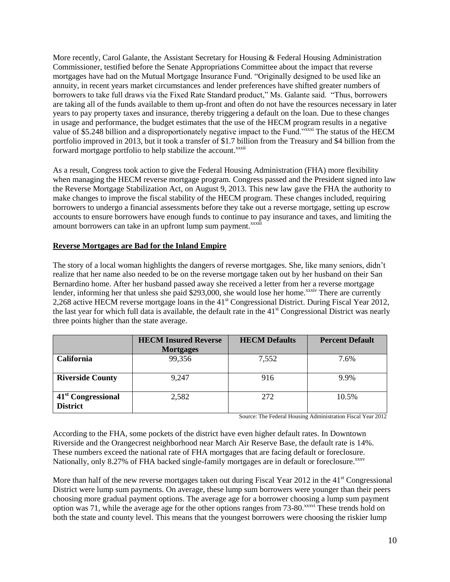More recently, Carol Galante, the Assistant Secretary for Housing & Federal Housing Administration Commissioner, testified before the Senate Appropriations Committee about the impact that reverse mortgages have had on the Mutual Mortgage Insurance Fund. "Originally designed to be used like an annuity, in recent years market circumstances and lender preferences have shifted greater numbers of borrowers to take full draws via the Fixed Rate Standard product," Ms. Galante said. "Thus, borrowers are taking all of the funds available to them up-front and often do not have the resources necessary in later years to pay property taxes and insurance, thereby triggering a default on the loan. Due to these changes in usage and performance, the budget estimates that the use of the HECM program results in a negative value of \$5.248 billion and a disproportionately negative impact to the Fund."xxxi The status of the HECM portfolio improved in 2013, but it took a transfer of \$1.7 billion from the Treasury and \$4 billion from the forward mortgage portfolio to help stabilize the account.<sup>xxxii</sup>

As a result, Congress took action to give the Federal Housing Administration (FHA) more flexibility when managing the HECM reverse mortgage program. Congress passed and the President signed into law the Reverse Mortgage Stabilization Act, on August 9, 2013. This new law gave the FHA the authority to make changes to improve the fiscal stability of the HECM program. These changes included, requiring borrowers to undergo a financial assessments before they take out a reverse mortgage, setting up escrow accounts to ensure borrowers have enough funds to continue to pay insurance and taxes, and limiting the amount borrowers can take in an upfront lump sum payment.<sup>xxxiii</sup>

### **Reverse Mortgages are Bad for the Inland Empire**

The story of a local woman highlights the dangers of reverse mortgages. She, like many seniors, didn't realize that her name also needed to be on the reverse mortgage taken out by her husband on their San Bernardino home. After her husband passed away she received a letter from her a reverse mortgage lender, informing her that unless she paid \$293,000, she would lose her home.<sup>xxxiv</sup> There are currently 2,268 active HECM reverse mortgage loans in the 41st Congressional District. During Fiscal Year 2012, the last year for which full data is available, the default rate in the 41<sup>st</sup> Congressional District was nearly three points higher than the state average.

|                                                   | <b>HECM Insured Reverse</b><br><b>Mortgages</b> | <b>HECM</b> Defaults | <b>Percent Default</b> |
|---------------------------------------------------|-------------------------------------------------|----------------------|------------------------|
| <b>California</b>                                 | 99,356                                          | 7,552                | 7.6%                   |
| <b>Riverside County</b>                           | 9,247                                           | 916                  | 9.9%                   |
| 41 <sup>st</sup> Congressional<br><b>District</b> | 2,582                                           | 272                  | 10.5%                  |

Source: The Federal Housing Administration Fiscal Year 2012

According to the FHA, some pockets of the district have even higher default rates. In Downtown Riverside and the Orangecrest neighborhood near March Air Reserve Base, the default rate is 14%. These numbers exceed the national rate of FHA mortgages that are facing default or foreclosure. Nationally, only 8.27% of FHA backed single-family mortgages are in default or foreclosure.<sup>xxxv</sup>

More than half of the new reverse mortgages taken out during Fiscal Year 2012 in the  $41<sup>st</sup>$  Congressional District were lump sum payments. On average, these lump sum borrowers were younger than their peers choosing more gradual payment options. The average age for a borrower choosing a lump sum payment option was 71, while the average age for the other options ranges from 73-80.<sup>xxxvi</sup> These trends hold on both the state and county level. This means that the youngest borrowers were choosing the riskier lump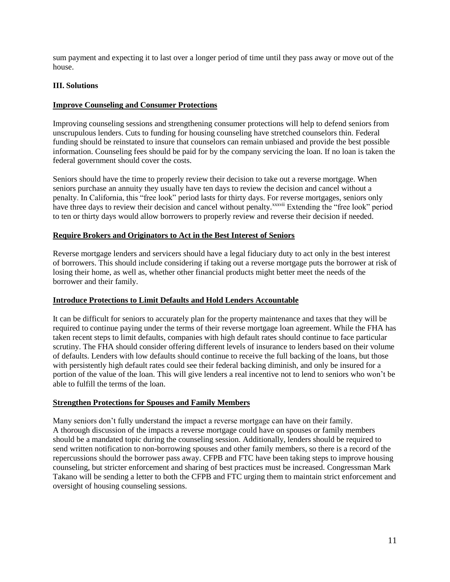sum payment and expecting it to last over a longer period of time until they pass away or move out of the house.

## **III. Solutions**

### **Improve Counseling and Consumer Protections**

Improving counseling sessions and strengthening consumer protections will help to defend seniors from unscrupulous lenders. Cuts to funding for housing counseling have stretched counselors thin. Federal funding should be reinstated to insure that counselors can remain unbiased and provide the best possible information. Counseling fees should be paid for by the company servicing the loan. If no loan is taken the federal government should cover the costs.

Seniors should have the time to properly review their decision to take out a reverse mortgage. When seniors purchase an annuity they usually have ten days to review the decision and cancel without a penalty. In California, this "free look" period lasts for thirty days. For reverse mortgages, seniors only have three days to review their decision and cancel without penalty.<sup>xxxvii</sup> Extending the "free look" period to ten or thirty days would allow borrowers to properly review and reverse their decision if needed.

#### **Require Brokers and Originators to Act in the Best Interest of Seniors**

Reverse mortgage lenders and servicers should have a legal fiduciary duty to act only in the best interest of borrowers. This should include considering if taking out a reverse mortgage puts the borrower at risk of losing their home, as well as, whether other financial products might better meet the needs of the borrower and their family.

#### **Introduce Protections to Limit Defaults and Hold Lenders Accountable**

It can be difficult for seniors to accurately plan for the property maintenance and taxes that they will be required to continue paying under the terms of their reverse mortgage loan agreement. While the FHA has taken recent steps to limit defaults, companies with high default rates should continue to face particular scrutiny. The FHA should consider offering different levels of insurance to lenders based on their volume of defaults. Lenders with low defaults should continue to receive the full backing of the loans, but those with persistently high default rates could see their federal backing diminish, and only be insured for a portion of the value of the loan. This will give lenders a real incentive not to lend to seniors who won't be able to fulfill the terms of the loan.

#### **Strengthen Protections for Spouses and Family Members**

Many seniors don't fully understand the impact a reverse mortgage can have on their family. A thorough discussion of the impacts a reverse mortgage could have on spouses or family members should be a mandated topic during the counseling session. Additionally, lenders should be required to send written notification to non-borrowing spouses and other family members, so there is a record of the repercussions should the borrower pass away. CFPB and FTC have been taking steps to improve housing counseling, but stricter enforcement and sharing of best practices must be increased. Congressman Mark Takano will be sending a letter to both the CFPB and FTC urging them to maintain strict enforcement and oversight of housing counseling sessions.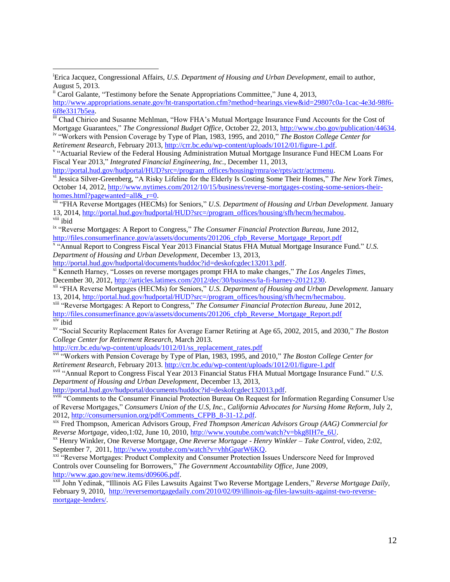*Retirement Research,* February 2013, [http://crr.bc.edu/wp-content/uploads/1012/01/figure-1.pdf.](http://crr.bc.edu/wp-content/uploads/1012/01/figure-1.pdf)

v "Actuarial Review of the Federal Housing Administration Mutual Mortgage Insurance Fund HECM Loans For Fiscal Year 2013," *Integrated Financial Engineering, Inc.,* December 11, 2013,

[http://portal.hud.gov/hudportal/HUD?src=/program\\_offices/housing/rmra/oe/rpts/actr/actrmenu.](http://portal.hud.gov/hudportal/HUD?src=/program_offices/housing/rmra/oe/rpts/actr/actrmenu)

vi Jessica Silver-Greenberg, "A Risky Lifeline for the Elderly Is Costing Some Their Homes," *The New York Times,*  October 14, 2012, [http://www.nytimes.com/2012/10/15/business/reverse-mortgages-costing-some-seniors-their](http://www.nytimes.com/2012/10/15/business/reverse-mortgages-costing-some-seniors-their-homes.html?pagewanted=all&_r=0)homes.html?pagewanted=all& r=0.

vii "FHA Reverse Mortgages (HECMs) for Seniors," *U.S. Department of Housing and Urban Development.* January 13, 2014, [http://portal.hud.gov/hudportal/HUD?src=/program\\_offices/housing/sfh/hecm/hecmabou.](http://portal.hud.gov/hudportal/HUD?src=/program_offices/housing/sfh/hecm/hecmabou) viii ibid

ix "Reverse Mortgages: A Report to Congress," *The Consumer Financial Protection Bureau,* June 2012, [http://files.consumerfinance.gov/a/assets/documents/201206\\_cfpb\\_Reverse\\_Mortgage\\_Report.pdf](http://files.consumerfinance.gov/a/assets/documents/201206_cfpb_Reverse_Mortgage_Report.pdf)

x "Annual Report to Congress Fiscal Year 2013 Financial Status FHA Mutual Mortgage Insurance Fund." *U.S. Department of Housing and Urban Development*, December 13, 2013,

[http://portal.hud.gov/hudportal/documents/huddoc?id=deskofcgdec132013.pdf.](http://portal.hud.gov/hudportal/documents/huddoc?id=deskofcgdec132013.pdf)

xi Kenneth Harney, "Losses on reverse mortgages prompt FHA to make changes," *The Los Angeles Times*, December 30, 2012[, http://articles.latimes.com/2012/dec/30/business/la-fi-harney-20121230.](http://articles.latimes.com/2012/dec/30/business/la-fi-harney-20121230)

xii "FHA Reverse Mortgages (HECMs) for Seniors," *U.S. Department of Housing and Urban Development.* January 13, 2014, [http://portal.hud.gov/hudportal/HUD?src=/program\\_offices/housing/sfh/hecm/hecmabou.](http://portal.hud.gov/hudportal/HUD?src=/program_offices/housing/sfh/hecm/hecmabou)

xiii "Reverse Mortgages: A Report to Congress," *The Consumer Financial Protection Bureau,* June 2012, [http://files.consumerfinance.gov/a/assets/documents/201206\\_cfpb\\_Reverse\\_Mortgage\\_Report.pdf](http://files.consumerfinance.gov/a/assets/documents/201206_cfpb_Reverse_Mortgage_Report.pdf)

xiv ibid

 $\overline{a}$ 

xv "Social Security Replacement Rates for Average Earner Retiring at Age 65, 2002, 2015, and 2030," *The Boston College Center for Retirement Research,* March 2013.

[http://crr.bc.edu/wp-content/uploads/1012/01/ss\\_replacement\\_rates.pdf](http://crr.bc.edu/wp-content/uploads/1012/01/ss_replacement_rates.pdf)

xvi "Workers with Pension Coverage by Type of Plan, 1983, 1995, and 2010," *The Boston College Center for Retirement Research,* February 2013.<http://crr.bc.edu/wp-content/uploads/1012/01/figure-1.pdf>

xvii "Annual Report to Congress Fiscal Year 2013 Financial Status FHA Mutual Mortgage Insurance Fund." *U.S. Department of Housing and Urban Development*, December 13, 2013,

[http://portal.hud.gov/hudportal/documents/huddoc?id=deskofcgdec132013.pdf.](http://portal.hud.gov/hudportal/documents/huddoc?id=deskofcgdec132013.pdf)

xviii "Comments to the Consumer Financial Protection Bureau On Request for Information Regarding Consumer Use of Reverse Mortgages," *Consumers Union of the U.S, Inc., California Advocates for Nursing Home Reform*, July 2, 2012, [http://consumersunion.org/pdf/Comments\\_CFPB\\_8-31-12.pdf.](http://consumersunion.org/pdf/Comments_CFPB_8-31-12.pdf)

xix Fred Thompson, American Advisors Group, *Fred Thompson American Advisors Group (AAG) Commercial for Reverse Mortgage*, video*,*1:02, June 10, 2010, [http://www.youtube.com/watch?v=bkg8IH7e\\_6U.](http://www.youtube.com/watch?v=bkg8IH7e_6U)

xx Henry Winkler, One Reverse Mortgage, *One Reverse Mortgage - Henry Winkler – Take Control*, video, 2:02, September 7, 2011, [http://www.youtube.com/watch?v=vhhGparW6KQ.](http://www.youtube.com/watch?v=vhhGparW6KQ)

<sup>xxi</sup> "Reverse Mortgages: Product Complexity and Consumer Protection Issues Underscore Need for Improved Controls over Counseling for Borrowers," *The Government Accountability Office*, June 2009, [http://www.gao.gov/new.items/d09606.pdf.](http://www.gao.gov/new.items/d09606.pdf)

xxii John Yedinak, "Illinois AG Files Lawsuits Against Two Reverse Mortgage Lenders," *Reverse Mortgage Daily,*  February 9, 2010, [http://reversemortgagedaily.com/2010/02/09/illinois-ag-files-lawsuits-against-two-reverse](http://reversemortgagedaily.com/2010/02/09/illinois-ag-files-lawsuits-against-two-reverse-mortgage-lenders/)[mortgage-lenders/.](http://reversemortgagedaily.com/2010/02/09/illinois-ag-files-lawsuits-against-two-reverse-mortgage-lenders/)

<sup>&</sup>lt;sup>i</sup>Erica Jacquez, Congressional Affairs, *U.S. Department of Housing and Urban Development*, email to author, August 5, 2013.

ii Carol Galante, "Testimony before the Senate Appropriations Committee," June 4, 2013, [http://www.appropriations.senate.gov/ht-transportation.cfm?method=hearings.view&id=29807c0a-1cac-4e3d-98f6-](http://www.appropriations.senate.gov/ht-transportation.cfm?method=hearings.view&id=29807c0a-1cac-4e3d-98f6-6f8e3317b5ea) [6f8e3317b5ea.](http://www.appropriations.senate.gov/ht-transportation.cfm?method=hearings.view&id=29807c0a-1cac-4e3d-98f6-6f8e3317b5ea)

iii Chad Chirico and Susanne Mehlman, "How FHA's Mutual Mortgage Insurance Fund Accounts for the Cost of Mortgage Guarantees," *The Congressional Budget Office*, October 22, 2013, [http://www.cbo.gov/publication/44634.](http://www.cbo.gov/publication/44634) iv "Workers with Pension Coverage by Type of Plan, 1983, 1995, and 2010," *The Boston College Center for*